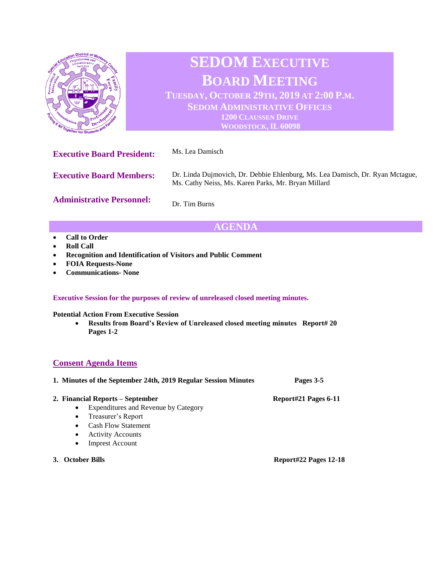

Dr. Tim Burns

## **AGENDA**

- **Call to Order**
- **Roll Call**
- **Recognition and Identification of Visitors and Public Comment**
- **FOIA Requests-None**
- **Communications- None**

## **Executive Session for the purposes of review of unreleased closed meeting minutes.**

**Potential Action From Executive Session**

• **Results from Board's Review of Unreleased closed meeting minutes Report# 20 Pages 1-2**

## **Consent Agenda Items**

| 1. Minutes of the September 24th, 2019 Regular Session Minutes | Pages 3-5            |
|----------------------------------------------------------------|----------------------|
| 2. Financial Reports – September                               | Report#21 Pages 6-11 |
| Expenditures and Revenue by Category<br>$\bullet$              |                      |
| • Treasurer's Report                                           |                      |
| <b>Cash Flow Statement</b><br>$\bullet$                        |                      |
| <b>Activity Accounts</b><br>٠                                  |                      |
| <b>Imprest Account</b><br>٠                                    |                      |

**3. October Bills Report#22 Pages 12-18**